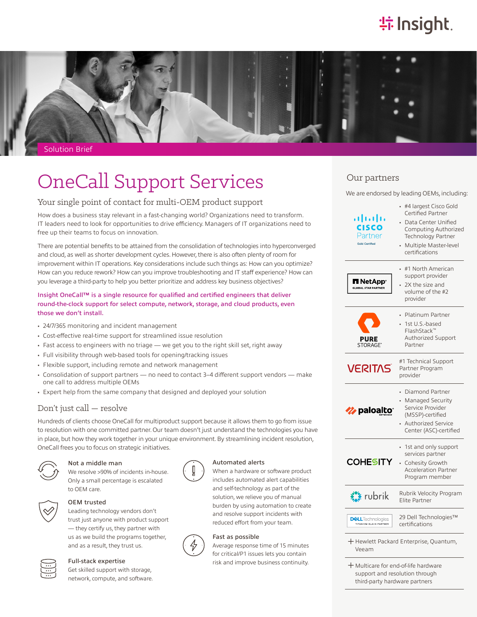# **特Insight**



# **OneCall Support Services**

# Your single point of contact for multi-OEM product support

How does a business stay relevant in a fast-changing world? Organizations need to transform. IT leaders need to look for opportunities to drive efficiency. Managers of IT organizations need to free up their teams to focus on innovation.

There are potential benefits to be attained from the consolidation of technologies into hyperconverged and cloud, as well as shorter development cycles. However, there is also often plenty of room for improvement within IT operations. Key considerations include such things as: How can you optimize? How can you reduce rework? How can you improve troubleshooting and IT staff experience? How can you leverage a third-party to help you better prioritize and address key business objectives?

# Insight OneCall™ is a single resource for qualified and certified engineers that deliver round-the-clock support for select compute, network, storage, and cloud products, even those we don't install.

- 24/7/365 monitoring and incident management
- Cost-effective real-time support for streamlined issue resolution
- Fast access to engineers with no triage we get you to the right skill set, right away
- Full visibility through web-based tools for opening/tracking issues
- Flexible support, including remote and network management
- Consolidation of support partners no need to contact 3–4 different support vendors make one call to address multiple OEMs
- Expert help from the same company that designed and deployed your solution

# Don't just call — resolve

Hundreds of clients choose OneCall for multiproduct support because it allows them to go from issue to resolution with one committed partner. Our team doesn't just understand the technologies you have in place, but how they work together in your unique environment. By streamlining incident resolution, OneCall frees you to focus on strategic initiatives.



#### Not a middle man

We resolve >90% of incidents in-house. Only a small percentage is escalated to OEM care.



#### OEM trusted

Leading technology vendors don't trust just anyone with product support — they certify us, they partner with us as we build the programs together, and as a result, they trust us.



## Full-stack expertise

Get skilled support with storage, network, compute, and software.



# Automated alerts

When a hardware or software product includes automated alert capabilities and self-technology as part of the solution, we relieve you of manual burden by using automation to create and resolve support incidents with reduced effort from your team.

# Fast as possible

Average response time of 15 minutes for critical/P1 issues lets you contain risk and improve business continuity.

| Our partners                                         |                                                                                                                                                                |
|------------------------------------------------------|----------------------------------------------------------------------------------------------------------------------------------------------------------------|
|                                                      | We are endorsed by leading OEMs, including:                                                                                                                    |
| altalti<br>CISCO<br>Partner<br><b>Gold Certified</b> | #4 largest Cisco Gold<br>Certified Partner<br>• Data Center Unified<br>Computing Authorized<br>Technology Partner<br>· Multiple Master-level<br>certifications |
| l NetApp <sup>.</sup>                                | #1 North American<br>support provider<br>2X the size and<br>volume of the #2<br>provider                                                                       |
| PURE<br>STORAGE®                                     | Platinum Partner<br>1st U.S.-based<br>FlashStack™<br>Authorized Support<br>Partner                                                                             |
| <b>VERITAS</b>                                       | #1 Technical Support<br>Partner Program<br>provider                                                                                                            |
| <b>Z</b> paloalto                                    | Diamond Partner<br>Managed Security<br>Service Provider<br>(MSSP)-certified<br>Authorized Service<br>Center (ASC)-certified                                    |
| COHESITY                                             | • 1st and only support<br>services partner<br>Cohesity Growth<br><b>Acceleration Partner</b><br>Program member                                                 |
|                                                      | Rubrik Velocity Program<br>Elite Partner                                                                                                                       |
|                                                      |                                                                                                                                                                |

͓Multicare for end-of-life hardware support and resolution through third-party hardware partners